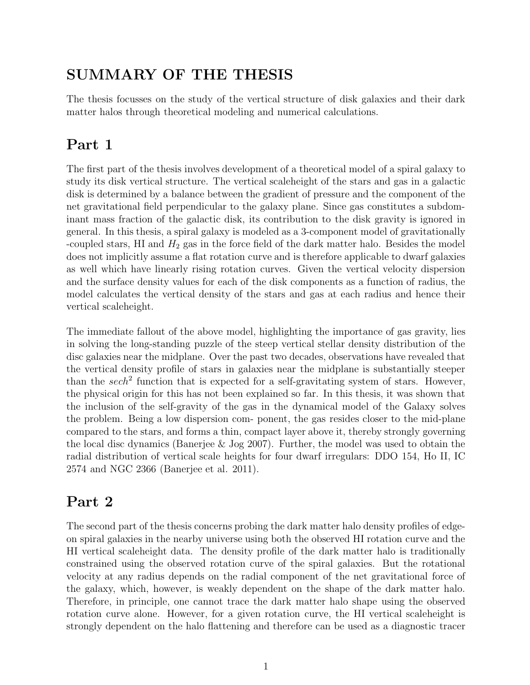## SUMMARY OF THE THESIS

The thesis focusses on the study of the vertical structure of disk galaxies and their dark matter halos through theoretical modeling and numerical calculations.

## Part 1

The first part of the thesis involves development of a theoretical model of a spiral galaxy to study its disk vertical structure. The vertical scaleheight of the stars and gas in a galactic disk is determined by a balance between the gradient of pressure and the component of the net gravitational field perpendicular to the galaxy plane. Since gas constitutes a subdominant mass fraction of the galactic disk, its contribution to the disk gravity is ignored in general. In this thesis, a spiral galaxy is modeled as a 3-component model of gravitationally -coupled stars, HI and  $H_2$  gas in the force field of the dark matter halo. Besides the model does not implicitly assume a flat rotation curve and is therefore applicable to dwarf galaxies as well which have linearly rising rotation curves. Given the vertical velocity dispersion and the surface density values for each of the disk components as a function of radius, the model calculates the vertical density of the stars and gas at each radius and hence their vertical scaleheight.

The immediate fallout of the above model, highlighting the importance of gas gravity, lies in solving the long-standing puzzle of the steep vertical stellar density distribution of the disc galaxies near the midplane. Over the past two decades, observations have revealed that the vertical density profile of stars in galaxies near the midplane is substantially steeper than the sech<sup>2</sup> function that is expected for a self-gravitating system of stars. However, the physical origin for this has not been explained so far. In this thesis, it was shown that the inclusion of the self-gravity of the gas in the dynamical model of the Galaxy solves the problem. Being a low dispersion com- ponent, the gas resides closer to the mid-plane compared to the stars, and forms a thin, compact layer above it, thereby strongly governing the local disc dynamics (Banerjee & Jog 2007). Further, the model was used to obtain the radial distribution of vertical scale heights for four dwarf irregulars: DDO 154, Ho II, IC 2574 and NGC 2366 (Banerjee et al. 2011).

## Part 2

The second part of the thesis concerns probing the dark matter halo density profiles of edgeon spiral galaxies in the nearby universe using both the observed HI rotation curve and the HI vertical scaleheight data. The density profile of the dark matter halo is traditionally constrained using the observed rotation curve of the spiral galaxies. But the rotational velocity at any radius depends on the radial component of the net gravitational force of the galaxy, which, however, is weakly dependent on the shape of the dark matter halo. Therefore, in principle, one cannot trace the dark matter halo shape using the observed rotation curve alone. However, for a given rotation curve, the HI vertical scaleheight is strongly dependent on the halo flattening and therefore can be used as a diagnostic tracer